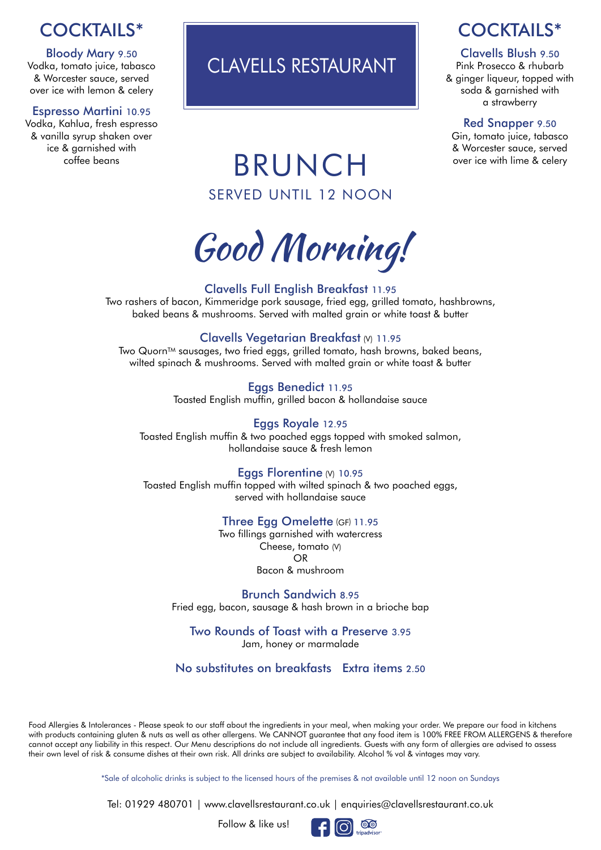# COCKTAILS\*

Bloody Mary 9.50 Vodka, tomato juice, tabasco & Worcester sauce, served over ice with lemon & celery

#### Espresso Martini 10.95

Vodka, Kahlua, fresh espresso & vanilla syrup shaken over ice & garnished with coffee beans

# CLAVELLS RESTAURANT

## COCKTAILS\*

#### Clavells Blush 9.50

Pink Prosecco & rhubarb & ginger liqueur, topped with soda & garnished with a strawberry

#### Red Snapper 9.50

Gin, tomato juice, tabasco & Worcester sauce, served over ice with lime & celery

# BRUNCH SERVED UNTIL 12 NOON

Good Morning!

#### Clavells Full English Breakfast 11.95

Two rashers of bacon, Kimmeridge pork sausage, fried egg, grilled tomato, hashbrowns, baked beans & mushrooms. Served with malted grain or white toast & butter

#### Clavells Vegetarian Breakfast (V) 11.95

Two Quorn™ sausages, two fried eggs, grilled tomato, hash browns, baked beans, wilted spinach & mushrooms. Served with malted grain or white toast & butter

> Eggs Benedict 11.95 Toasted English muffin, grilled bacon & hollandaise sauce

#### Eggs Royale 12.95

Toasted English muffin & two poached eggs topped with smoked salmon, hollandaise sauce & fresh lemon

#### Eggs Florentine (V) 10.95

Toasted English muffin topped with wilted spinach & two poached eggs, served with hollandaise sauce

#### Three Egg Omelette (GF) 11.95

Two fillings garnished with watercress Cheese, tomato (V) OR Bacon & mushroom

Brunch Sandwich 8.95 Fried egg, bacon, sausage & hash brown in a brioche bap

Two Rounds of Toast with a Preserve 3.95 Jam, honey or marmalade

No substitutes on breakfasts Extra items 2.50

Food Allergies & Intolerances - Please speak to our staff about the ingredients in your meal, when making your order. We prepare our food in kitchens with products containing gluten & nuts as well as other allergens. We CANNOT guarantee that any food item is 100% FREE FROM ALLERGENS & therefore cannot accept any liability in this respect. Our Menu descriptions do not include all ingredients. Guests with any form of allergies are advised to assess their own level of risk & consume dishes at their own risk. All drinks are subject to availability. Alcohol % vol & vintages may vary.

\*Sale of alcoholic drinks is subject to the licensed hours of the premises & not available until 12 noon on Sundays

Tel: 01929 480701 | www.clavellsrestaurant.co.uk | enquiries@clavellsrestaurant.co.uk

Follow & like us!